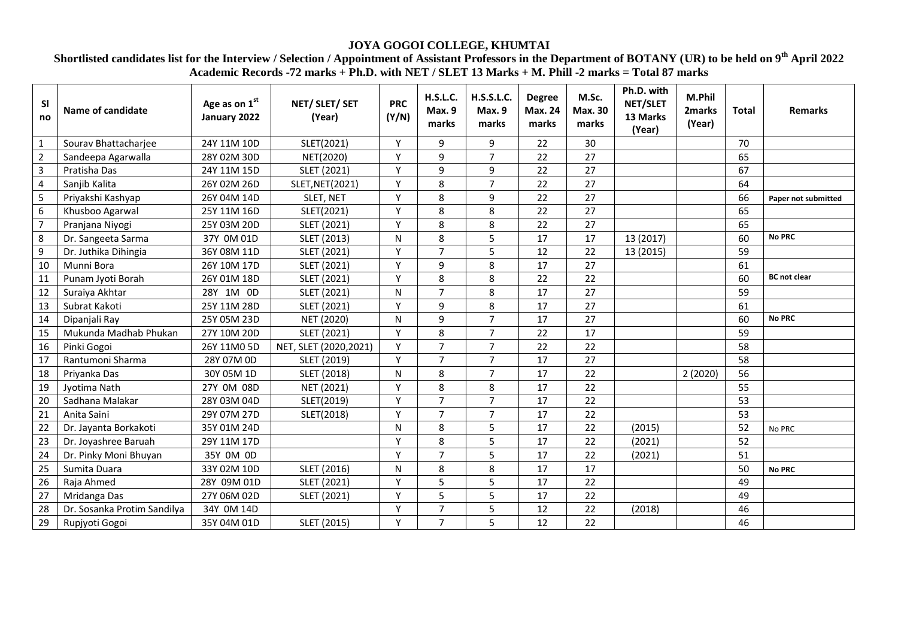## **JOYA GOGOI COLLEGE, KHUMTAI**

## **Shortlisted candidates list for the Interview / Selection / Appointment of Assistant Professors in the Department of BOTANY (UR) to be held on 9th April 2022 Academic Records -72 marks + Ph.D. with NET / SLET 13 Marks + M. Phill -2 marks = Total 87 marks**

| <b>SI</b><br>no         | <b>Name of candidate</b>    | Age as on 1st<br>January 2022 | NET/ SLET/ SET<br>(Year) | <b>PRC</b><br>(Y/N) | H.S.L.C.<br>Max. 9<br>marks | <b>H.S.S.L.C.</b><br>Max. 9<br>marks | <b>Degree</b><br><b>Max. 24</b><br>marks | M.Sc.<br><b>Max. 30</b><br>marks | Ph.D. with<br>NET/SLET<br>13 Marks<br>(Year) | M.Phil<br>2marks<br>(Year) | <b>Total</b> | <b>Remarks</b>      |
|-------------------------|-----------------------------|-------------------------------|--------------------------|---------------------|-----------------------------|--------------------------------------|------------------------------------------|----------------------------------|----------------------------------------------|----------------------------|--------------|---------------------|
| $\mathbf{1}$            | Sourav Bhattacharjee        | 24Y 11M 10D                   | SLET(2021)               | Y                   | 9                           | 9                                    | 22                                       | 30                               |                                              |                            | 70           |                     |
| $\overline{2}$          | Sandeepa Agarwalla          | 28Y 02M 30D                   | NET(2020)                | Y                   | 9                           | $\overline{7}$                       | 22                                       | 27                               |                                              |                            | 65           |                     |
| $\overline{\mathbf{3}}$ | Pratisha Das                | 24Y 11M 15D                   | SLET (2021)              | Y                   | 9                           | 9                                    | 22                                       | 27                               |                                              |                            | 67           |                     |
| 4                       | Sanjib Kalita               | 26Y 02M 26D                   | SLET, NET(2021)          | Y                   | 8                           | $\overline{7}$                       | 22                                       | 27                               |                                              |                            | 64           |                     |
| 5                       | Priyakshi Kashyap           | 26Y 04M 14D                   | SLET, NET                | Y                   | 8                           | 9                                    | 22                                       | 27                               |                                              |                            | 66           | Paper not submitted |
| 6                       | Khusboo Agarwal             | 25Y 11M 16D                   | SLET(2021)               | Y                   | 8                           | 8                                    | 22                                       | 27                               |                                              |                            | 65           |                     |
| $\overline{7}$          | Pranjana Niyogi             | 25Y 03M 20D                   | SLET (2021)              | Y                   | 8                           | 8                                    | 22                                       | 27                               |                                              |                            | 65           |                     |
| 8                       | Dr. Sangeeta Sarma          | 37Y 0M 01D                    | SLET (2013)              | N                   | 8                           | 5                                    | 17                                       | 17                               | 13 (2017)                                    |                            | 60           | <b>No PRC</b>       |
| 9                       | Dr. Juthika Dihingia        | 36Y 08M 11D                   | SLET (2021)              | Y                   | $\overline{7}$              | 5                                    | 12                                       | 22                               | 13 (2015)                                    |                            | 59           |                     |
| 10                      | Munni Bora                  | 26Y 10M 17D                   | SLET (2021)              | Y                   | 9                           | 8                                    | 17                                       | 27                               |                                              |                            | 61           |                     |
| 11                      | Punam Jyoti Borah           | 26Y 01M 18D                   | SLET (2021)              | Y                   | 8                           | 8                                    | 22                                       | 22                               |                                              |                            | 60           | <b>BC</b> not clear |
| 12                      | Suraiya Akhtar              | 28Y 1M 0D                     | SLET (2021)              | $\mathsf{N}$        | $\overline{7}$              | 8                                    | 17                                       | 27                               |                                              |                            | 59           |                     |
| 13                      | Subrat Kakoti               | 25Y 11M 28D                   | SLET (2021)              | Y                   | 9                           | 8                                    | 17                                       | 27                               |                                              |                            | 61           |                     |
| 14                      | Dipanjali Ray               | 25Y 05M 23D                   | NET (2020)               | N                   | 9                           | $\overline{7}$                       | 17                                       | 27                               |                                              |                            | 60           | <b>No PRC</b>       |
| 15                      | Mukunda Madhab Phukan       | 27Y 10M 20D                   | SLET (2021)              | Y                   | 8                           | $\overline{7}$                       | 22                                       | 17                               |                                              |                            | 59           |                     |
| 16                      | Pinki Gogoi                 | 26Y 11M0 5D                   | NET, SLET (2020,2021)    | Y                   | $\overline{7}$              | $\overline{7}$                       | 22                                       | 22                               |                                              |                            | 58           |                     |
| 17                      | Rantumoni Sharma            | 28Y 07M 0D                    | SLET (2019)              | Y                   | $\overline{7}$              | $\overline{7}$                       | 17                                       | 27                               |                                              |                            | 58           |                     |
| 18                      | Priyanka Das                | 30Y 05M 1D                    | SLET (2018)              | N                   | 8                           | $\overline{7}$                       | 17                                       | 22                               |                                              | 2(2020)                    | 56           |                     |
| 19                      | Jyotima Nath                | 27Y 0M 08D                    | NET (2021)               | Y                   | 8                           | 8                                    | 17                                       | 22                               |                                              |                            | 55           |                     |
| 20                      | Sadhana Malakar             | 28Y 03M 04D                   | SLET(2019)               | Y                   | $\overline{7}$              | $\overline{7}$                       | 17                                       | 22                               |                                              |                            | 53           |                     |
| 21                      | Anita Saini                 | 29Y 07M 27D                   | SLET(2018)               | Y                   | $\overline{7}$              | $\overline{7}$                       | 17                                       | 22                               |                                              |                            | 53           |                     |
| 22                      | Dr. Jayanta Borkakoti       | 35Y 01M 24D                   |                          | N                   | 8                           | 5                                    | 17                                       | 22                               | (2015)                                       |                            | 52           | No PRC              |
| 23                      | Dr. Joyashree Baruah        | 29Y 11M 17D                   |                          | Y                   | 8                           | 5                                    | 17                                       | 22                               | (2021)                                       |                            | 52           |                     |
| 24                      | Dr. Pinky Moni Bhuyan       | 35Y 0M 0D                     |                          | Y                   | $\overline{7}$              | 5                                    | 17                                       | 22                               | (2021)                                       |                            | 51           |                     |
| 25                      | Sumita Duara                | 33Y 02M 10D                   | SLET (2016)              | N                   | 8                           | 8                                    | 17                                       | 17                               |                                              |                            | 50           | <b>No PRC</b>       |
| 26                      | Raja Ahmed                  | 28Y 09M 01D                   | SLET (2021)              | Y                   | 5                           | 5                                    | 17                                       | 22                               |                                              |                            | 49           |                     |
| 27                      | Mridanga Das                | 27Y 06M 02D                   | SLET (2021)              | Y                   | 5                           | 5                                    | 17                                       | 22                               |                                              |                            | 49           |                     |
| 28                      | Dr. Sosanka Protim Sandilya | 34Y 0M 14D                    |                          | Y                   | $\overline{7}$              | 5                                    | 12                                       | 22                               | (2018)                                       |                            | 46           |                     |
| 29                      | Rupjyoti Gogoi              | 35Y 04M 01D                   | SLET (2015)              | Y                   | $\overline{7}$              | 5                                    | 12                                       | 22                               |                                              |                            | 46           |                     |